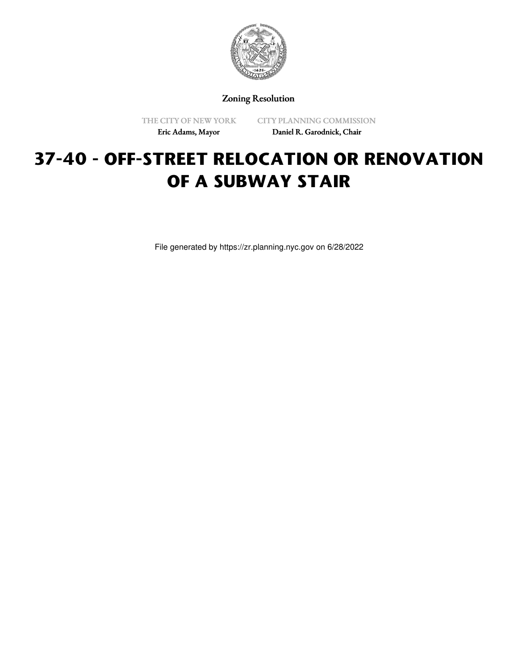

Zoning Resolution

THE CITY OF NEW YORK Eric Adams, Mayor

CITY PLANNING COMMISSION Daniel R. Garodnick, Chair

# **37-40 - OFF-STREET RELOCATION OR RENOVATION OF A SUBWAY STAIR**

File generated by https://zr.planning.nyc.gov on 6/28/2022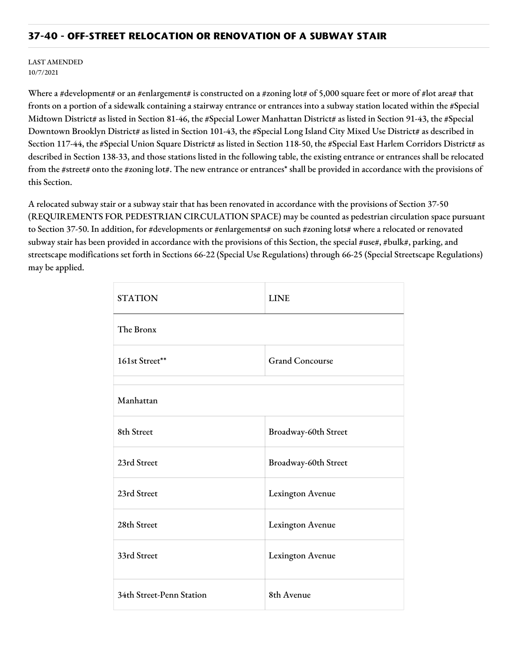#### **37-40 - OFF-STREET RELOCATION OR RENOVATION OF A SUBWAY STAIR**

LAST AMENDED 10/7/2021

Where a #development# or an #enlargement# is constructed on a #zoning lot# of 5,000 square feet or more of #lot area# that fronts on a portion of a sidewalk containing a stairway entrance or entrances into a subway station located within the #Special Midtown District# as listed in Section 81-46, the #Special Lower Manhattan District# as listed in Section 91-43, the #Special Downtown Brooklyn District# as listed in Section 101-43, the #Special Long Island City Mixed Use District# as described in Section 117-44, the #Special Union Square District# as listed in Section 118-50, the #Special East Harlem Corridors District# as described in Section 138-33, and those stations listed in the following table, the existing entrance or entrances shall be relocated from the #street# onto the #zoning lot#. The new entrance or entrances\* shall be provided in accordance with the provisions of this Section.

A relocated subway stair or a subway stair that has been renovated in accordance with the provisions of Section 37-50 (REQUIREMENTS FOR PEDESTRIAN CIRCULATION SPACE) may be counted as pedestrian circulation space pursuant to Section 37-50. In addition, for #developments or #enlargements# on such #zoning lots# where a relocated or renovated subway stair has been provided in accordance with the provisions of this Section, the special #use#, #bulk#, parking, and streetscape modifications set forth in Sections 66-22 (Special Use Regulations) through 66-25 (Special Streetscape Regulations) may be applied.

| <b>STATION</b>           | <b>LINE</b>            |
|--------------------------|------------------------|
| The Bronx                |                        |
| 161st Street**           | <b>Grand Concourse</b> |
| Manhattan                |                        |
| 8th Street               | Broadway-60th Street   |
| 23rd Street              | Broadway-60th Street   |
| 23rd Street              | Lexington Avenue       |
| 28th Street              | Lexington Avenue       |
| 33rd Street              | Lexington Avenue       |
| 34th Street-Penn Station | 8th Avenue             |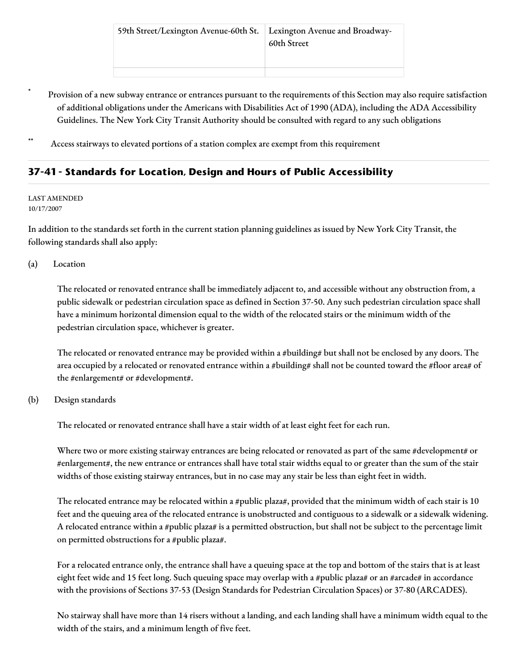- Provision of a new subway entrance or entrances pursuant to the requirements of this Section may also require satisfaction of additional obligations under the Americans with Disabilities Act of 1990 (ADA), including the ADA Accessibility Guidelines. The New York City Transit Authority should be consulted with regard to any such obligations
- Access stairways to elevated portions of a station complex are exempt from this requirement

# **37-41 - Standards for Location, Design and Hours of Public Accessibility**

#### LAST AMENDED 10/17/2007

In addition to the standards set forth in the current station planning guidelines as issued by New York City Transit, the following standards shall also apply:

#### (a) Location

The relocated or renovated entrance shall be immediately adjacent to, and accessible without any obstruction from, a public sidewalk or pedestrian circulation space as defined in Section 37-50. Any such pedestrian circulation space shall have a minimum horizontal dimension equal to the width of the relocated stairs or the minimum width of the pedestrian circulation space, whichever is greater.

The relocated or renovated entrance may be provided within a #building# but shall not be enclosed by any doors. The area occupied by a relocated or renovated entrance within a #building# shall not be counted toward the #floor area# of the #enlargement# or #development#.

#### (b) Design standards

The relocated or renovated entrance shall have a stair width of at least eight feet for each run.

Where two or more existing stairway entrances are being relocated or renovated as part of the same #development# or #enlargement#, the new entrance or entrances shall have total stair widths equal to or greater than the sum of the stair widths of those existing stairway entrances, but in no case may any stair be less than eight feet in width.

The relocated entrance may be relocated within a #public plaza#, provided that the minimum width of each stair is 10 feet and the queuing area of the relocated entrance is unobstructed and contiguous to a sidewalk or a sidewalk widening. A relocated entrance within a #public plaza# is a permitted obstruction, but shall not be subject to the percentage limit on permitted obstructions for a #public plaza#.

For a relocated entrance only, the entrance shall have a queuing space at the top and bottom of the stairs that is at least eight feet wide and 15 feet long. Such queuing space may overlap with a #public plaza# or an #arcade# in accordance with the provisions of Sections 37-53 (Design Standards for Pedestrian Circulation Spaces) or 37-80 (ARCADES).

No stairway shall have more than 14 risers without a landing, and each landing shall have a minimum width equal to the width of the stairs, and a minimum length of five feet.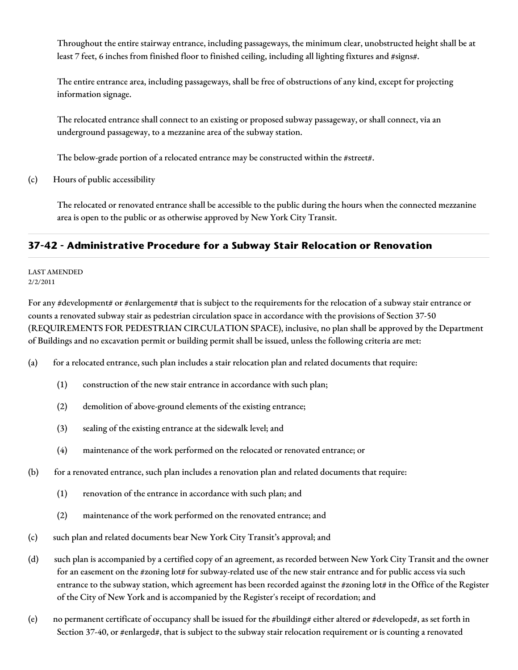Throughout the entire stairway entrance, including passageways, the minimum clear, unobstructed height shall be at least 7 feet, 6 inches from finished floor to finished ceiling, including all lighting fixtures and #signs#.

The entire entrance area, including passageways, shall be free of obstructions of any kind, except for projecting information signage.

The relocated entrance shall connect to an existing or proposed subway passageway, or shall connect, via an underground passageway, to a mezzanine area of the subway station.

The below-grade portion of a relocated entrance may be constructed within the #street#.

(c) Hours of public accessibility

The relocated or renovated entrance shall be accessible to the public during the hours when the connected mezzanine area is open to the public or as otherwise approved by New York City Transit.

## **37-42 - Administrative Procedure for a Subway Stair Relocation or Renovation**

LAST AMENDED 2/2/2011

For any #development# or #enlargement# that is subject to the requirements for the relocation of a subway stair entrance or counts a renovated subway stair as pedestrian circulation space in accordance with the provisions of Section 37-50 (REQUIREMENTS FOR PEDESTRIAN CIRCULATION SPACE), inclusive, no plan shall be approved by the Department of Buildings and no excavation permit or building permit shall be issued, unless the following criteria are met:

(a) for a relocated entrance, such plan includes a stair relocation plan and related documents that require:

- (1) construction of the new stair entrance in accordance with such plan;
- (2) demolition of above-ground elements of the existing entrance;
- (3) sealing of the existing entrance at the sidewalk level; and
- (4) maintenance of the work performed on the relocated or renovated entrance; or
- (b) for a renovated entrance, such plan includes a renovation plan and related documents that require:
	- (1) renovation of the entrance in accordance with such plan; and
	- (2) maintenance of the work performed on the renovated entrance; and
- (c) such plan and related documents bear New York City Transit's approval; and
- (d) such plan is accompanied by a certified copy of an agreement, as recorded between New York City Transit and the owner for an easement on the #zoning lot# for subway-related use of the new stair entrance and for public access via such entrance to the subway station, which agreement has been recorded against the #zoning lot# in the Office of the Register of the City of New York and is accompanied by the Register's receipt of recordation; and
- (e) no permanent certificate of occupancy shall be issued for the #building# either altered or #developed#, as set forth in Section 37-40, or #enlarged#, that is subject to the subway stair relocation requirement or is counting a renovated